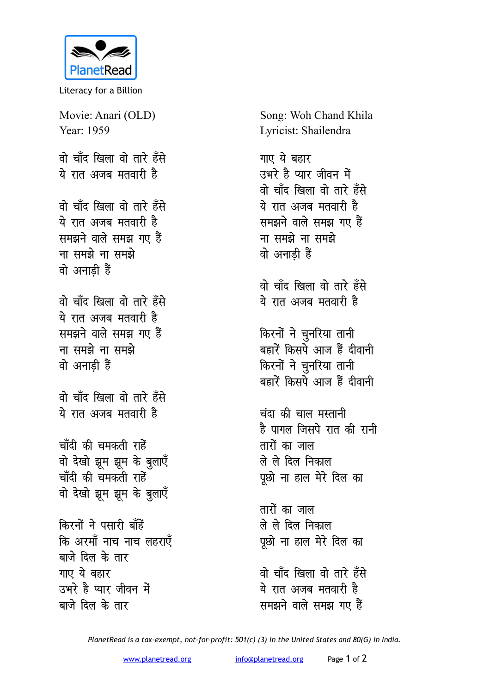

Literacy for a Billion

Movie: Anari (OLD) Year: 1959 <u>वो चाँद खिला वो तारे हँसे</u> ये रात अजब मतवारी है <u>वो चाँद खिला वो तारे हँसे</u> <u>ये रात अजब मतवारी है</u> समझने वाले समझ गए हैं <u>ना समझे ना समझे</u> **a** अनाडी हैं <u>वो चाँद खिला वो तारे हँसे</u> ये रात अजब मतवारी ह<del>ै</del> समझने वाले समझ गए हैं <u>ना समझे ना समझे</u> <u>वो</u> अनाडी हैं <u>वो चाँद खिला वो तारे हँसे</u> <u>ये रात अजब मतवारी है</u> चाँदी की चमकती राहे<mark>ं</mark> वो देखो झूम झूम के बुलाएँ चाँदी की चमकती राहे<del>ं</del> वो देखो झूम झूम के बुलाएँ **किरनों ने पसारी बाँहें कि अरमॉं नाच नाच लहराएँ** बाजे दिल के तार **गाए** ये बहार उभरे है प्यार जीवन में

बाजे दिल के तार

Song: Woh Chand Khila Lyricist: Shailendra

<u>गाए ये बहार</u> उभरे है प्यार जीवन में <u>वो चाँद खिला वो तारे हँसे</u> ये रात अजब मतवारी ह<del>ै</del> समझने वाले समझ गए हैं <u>ना समझे ना समझे</u> <u>वो अनाडी</u> हैं

<u>वो चाँद खिला वो तारे हँसे</u> ये रात अजब मतवारी ह<del>ै</del>

*किरनों ने चुनरिया तानी* बहारें किसपे आज हैं दीवानी किरनों ने चुनरिया तानी बहारें किसपे आज हैं दीवानी

**चंदा की चाल मस्तानी** है पागल जिसपे रात की रानी **तारों का जाल** ले ले दिल निकाल पूछो ना हाल मेरे दिल का

<u>तारों का जाल</u> ले ले दिल निकाल पूछो ना हाल मेरे दिल का

<u>वो चाँद खिला वो तारे हँसे</u> ये रात अजब मतवारी ह<del>ै</del> समझने वाले समझ गए हैं

*PlanetRead is a tax-exempt, not-for-profit: 501(c) (3) in the United States and 80(G) in India.*